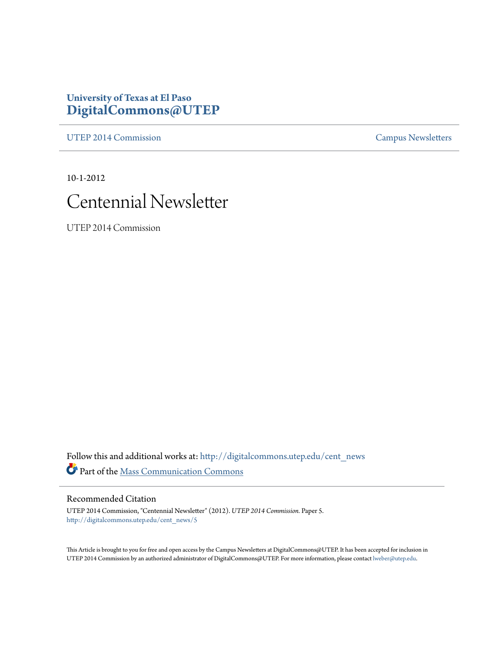#### **University of Texas at El Paso [DigitalCommons@UTEP](http://digitalcommons.utep.edu?utm_source=digitalcommons.utep.edu%2Fcent_news%2F5&utm_medium=PDF&utm_campaign=PDFCoverPages)**

[UTEP 2014 Commission](http://digitalcommons.utep.edu/cent_news?utm_source=digitalcommons.utep.edu%2Fcent_news%2F5&utm_medium=PDF&utm_campaign=PDFCoverPages) [Campus Newsletters](http://digitalcommons.utep.edu/newsletters?utm_source=digitalcommons.utep.edu%2Fcent_news%2F5&utm_medium=PDF&utm_campaign=PDFCoverPages)

10-1-2012



UTEP 2014 Commission

Follow this and additional works at: [http://digitalcommons.utep.edu/cent\\_news](http://digitalcommons.utep.edu/cent_news?utm_source=digitalcommons.utep.edu%2Fcent_news%2F5&utm_medium=PDF&utm_campaign=PDFCoverPages) Part of the [Mass Communication Commons](http://network.bepress.com/hgg/discipline/334?utm_source=digitalcommons.utep.edu%2Fcent_news%2F5&utm_medium=PDF&utm_campaign=PDFCoverPages)

Recommended Citation

UTEP 2014 Commission, "Centennial Newsletter" (2012). *UTEP 2014 Commission.* Paper 5. [http://digitalcommons.utep.edu/cent\\_news/5](http://digitalcommons.utep.edu/cent_news/5?utm_source=digitalcommons.utep.edu%2Fcent_news%2F5&utm_medium=PDF&utm_campaign=PDFCoverPages)

This Article is brought to you for free and open access by the Campus Newsletters at DigitalCommons@UTEP. It has been accepted for inclusion in UTEP 2014 Commission by an authorized administrator of DigitalCommons@UTEP. For more information, please contact [lweber@utep.edu.](mailto:lweber@utep.edu)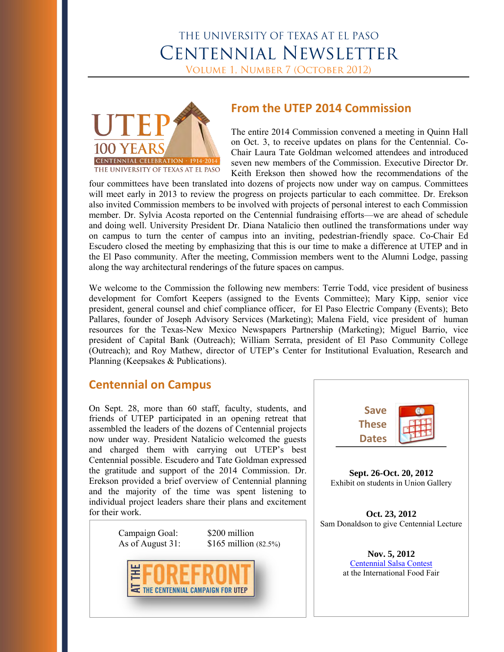# THE UNIVERSITY OF TEXAS AT EL PASO **CENTENNIAL NEWSLETTER**

VOLUME 1, NUMBER 7 (OCTOBER 2012)



### **From the UTEP 2014 Commission**

The entire 2014 Commission convened a meeting in Quinn Hall on Oct. 3, to receive updates on plans for the Centennial. Co-Chair Laura Tate Goldman welcomed attendees and introduced seven new members of the Commission. Executive Director Dr. Keith Erekson then showed how the recommendations of the

four committees have been translated into dozens of projects now under way on campus. Committees will meet early in 2013 to review the progress on projects particular to each committee. Dr. Erekson also invited Commission members to be involved with projects of personal interest to each Commission member. Dr. Sylvia Acosta reported on the Centennial fundraising efforts—we are ahead of schedule and doing well. University President Dr. Diana Natalicio then outlined the transformations under way on campus to turn the center of campus into an inviting, pedestrian-friendly space. Co-Chair Ed Escudero closed the meeting by emphasizing that this is our time to make a difference at UTEP and in the El Paso community. After the meeting, Commission members went to the Alumni Lodge, passing along the way architectural renderings of the future spaces on campus.

We welcome to the Commission the following new members: Terrie Todd, vice president of business development for Comfort Keepers (assigned to the Events Committee); Mary Kipp, senior vice president, general counsel and chief compliance officer, for El Paso Electric Company (Events); Beto Pallares, founder of Joseph Advisory Services (Marketing); Malena Field, vice president of human resources for the Texas-New Mexico Newspapers Partnership (Marketing); Miguel Barrio, vice president of Capital Bank (Outreach); William Serrata, president of El Paso Community College (Outreach); and Roy Mathew, director of UTEP's Center for Institutional Evaluation, Research and Planning (Keepsakes & Publications).

#### **Centennial on Campus**

On Sept. 28, more than 60 staff, faculty, students, and friends of UTEP participated in an opening retreat that assembled the leaders of the dozens of Centennial projects now under way. President Natalicio welcomed the guests and charged them with carrying out UTEP's best Centennial possible. Escudero and Tate Goldman expressed the gratitude and support of the 2014 Commission. Dr. Erekson provided a brief overview of Centennial planning and the majority of the time was spent listening to individual project leaders share their plans and excitement for their work.

Campaign Goal: \$200 million

[As of August 31: \\$165 million](http://www.campaignforutep.org/index.html) (82.5%)





**Sept. 26-Oct. 20, 2012**  Exhibit on students in Union Gallery

**Oct. 23, 2012**  Sam Donaldson to give Centennial Lecture

> **Nov. 5, 2012**  [Centennial Salsa Contest](http://centennial.utep.edu/index.php/en/beinvolved/salsacontest) at the International Food Fair